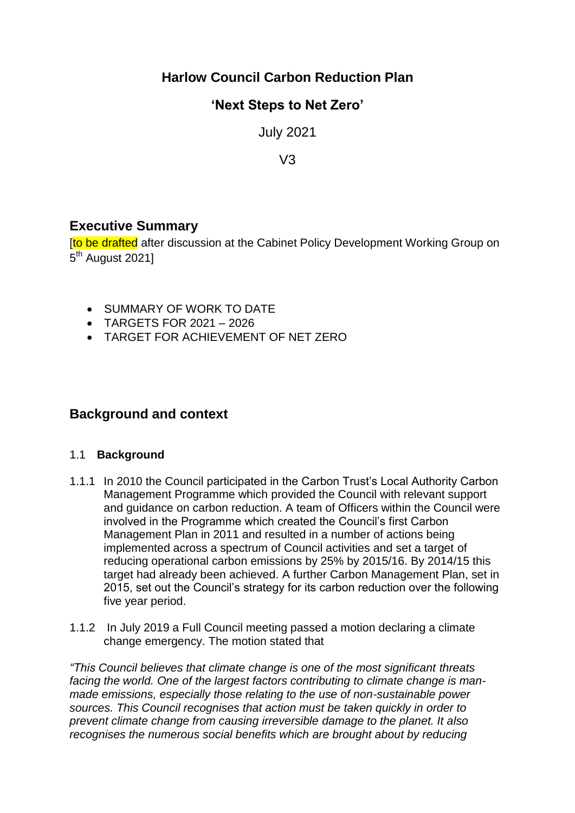# **Harlow Council Carbon Reduction Plan**

# **'Next Steps to Net Zero'**

July 2021

 $V3$ 

## **Executive Summary**

**Ito be drafted** after discussion at the Cabinet Policy Development Working Group on 5<sup>th</sup> August 2021]

- **SUMMARY OF WORK TO DATE**
- TARGETS FOR 2021 2026
- TARGET FOR ACHIEVEMENT OF NET ZERO

# **Background and context**

#### 1.1 **Background**

- 1.1.1 In 2010 the Council participated in the Carbon Trust's Local Authority Carbon Management Programme which provided the Council with relevant support and guidance on carbon reduction. A team of Officers within the Council were involved in the Programme which created the Council's first Carbon Management Plan in 2011 and resulted in a number of actions being implemented across a spectrum of Council activities and set a target of reducing operational carbon emissions by 25% by 2015/16. By 2014/15 this target had already been achieved. A further Carbon Management Plan, set in 2015, set out the Council's strategy for its carbon reduction over the following five year period.
- 1.1.2 In July 2019 a Full Council meeting passed a motion declaring a climate change emergency. The motion stated that

*"This Council believes that climate change is one of the most significant threats facing the world. One of the largest factors contributing to climate change is manmade emissions, especially those relating to the use of non-sustainable power sources. This Council recognises that action must be taken quickly in order to prevent climate change from causing irreversible damage to the planet. It also recognises the numerous social benefits which are brought about by reducing*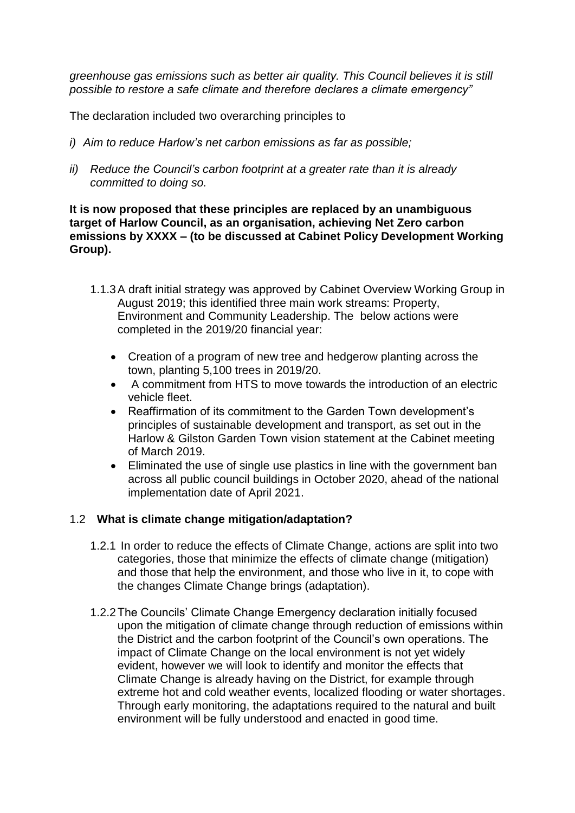*greenhouse gas emissions such as better air quality. This Council believes it is still possible to restore a safe climate and therefore declares a climate emergency"*

The declaration included two overarching principles to

- *i) Aim to reduce Harlow's net carbon emissions as far as possible;*
- *ii) Reduce the Council's carbon footprint at a greater rate than it is already committed to doing so.*

#### **It is now proposed that these principles are replaced by an unambiguous target of Harlow Council, as an organisation, achieving Net Zero carbon emissions by XXXX – (to be discussed at Cabinet Policy Development Working Group).**

- 1.1.3A draft initial strategy was approved by Cabinet Overview Working Group in August 2019; this identified three main work streams: Property, Environment and Community Leadership. The below actions were completed in the 2019/20 financial year:
	- Creation of a program of new tree and hedgerow planting across the town, planting 5,100 trees in 2019/20.
	- A commitment from HTS to move towards the introduction of an electric vehicle fleet.
	- Reaffirmation of its commitment to the Garden Town development's principles of sustainable development and transport, as set out in the Harlow & Gilston Garden Town vision statement at the Cabinet meeting of March 2019.
	- Eliminated the use of single use plastics in line with the government ban across all public council buildings in October 2020, ahead of the national implementation date of April 2021.

#### 1.2 **What is climate change mitigation/adaptation?**

- 1.2.1 In order to reduce the effects of Climate Change, actions are split into two categories, those that minimize the effects of climate change (mitigation) and those that help the environment, and those who live in it, to cope with the changes Climate Change brings (adaptation).
- 1.2.2The Councils' Climate Change Emergency declaration initially focused upon the mitigation of climate change through reduction of emissions within the District and the carbon footprint of the Council's own operations. The impact of Climate Change on the local environment is not yet widely evident, however we will look to identify and monitor the effects that Climate Change is already having on the District, for example through extreme hot and cold weather events, localized flooding or water shortages. Through early monitoring, the adaptations required to the natural and built environment will be fully understood and enacted in good time.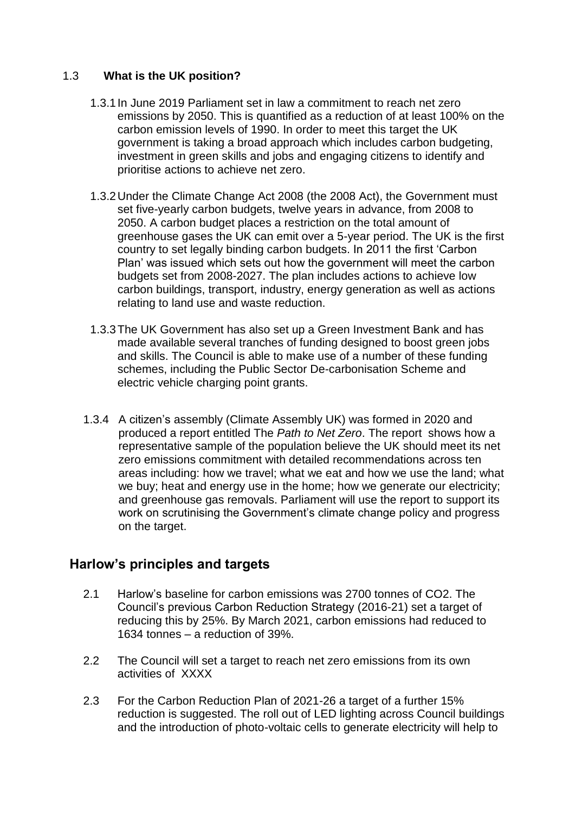#### 1.3 **What is the UK position?**

- 1.3.1In June 2019 Parliament set in law a commitment to reach net zero emissions by 2050. This is quantified as a reduction of at least 100% on the carbon emission levels of 1990. In order to meet this target the UK government is taking a broad approach which includes carbon budgeting, investment in green skills and jobs and engaging citizens to identify and prioritise actions to achieve net zero.
- 1.3.2Under the Climate Change Act 2008 (the 2008 Act), the Government must set five-yearly carbon budgets, twelve years in advance, from 2008 to 2050. A carbon budget places a restriction on the total amount of greenhouse gases the UK can emit over a 5-year period. The UK is the first country to set legally binding carbon budgets. In 2011 the first 'Carbon Plan' was issued which sets out how the government will meet the carbon budgets set from 2008-2027. The plan includes actions to achieve low carbon buildings, transport, industry, energy generation as well as actions relating to land use and waste reduction.
- 1.3.3The UK Government has also set up a Green Investment Bank and has made available several tranches of funding designed to boost green jobs and skills. The Council is able to make use of a number of these funding schemes, including the Public Sector De-carbonisation Scheme and electric vehicle charging point grants.
- 1.3.4 A citizen's assembly (Climate Assembly UK) was formed in 2020 and produced a report entitled The *Path to Net Zero*. The report shows how a representative sample of the population believe the UK should meet its net zero emissions commitment with detailed recommendations across ten areas including: how we travel; what we eat and how we use the land; what we buy; heat and energy use in the home; how we generate our electricity; and greenhouse gas removals. Parliament will use the report to support its work on scrutinising the Government's climate change policy and progress on the target.

## **Harlow's principles and targets**

- 2.1 Harlow's baseline for carbon emissions was 2700 tonnes of CO2. The Council's previous Carbon Reduction Strategy (2016-21) set a target of reducing this by 25%. By March 2021, carbon emissions had reduced to 1634 tonnes – a reduction of 39%.
- 2.2 The Council will set a target to reach net zero emissions from its own activities of XXXX
- 2.3 For the Carbon Reduction Plan of 2021-26 a target of a further 15% reduction is suggested. The roll out of LED lighting across Council buildings and the introduction of photo-voltaic cells to generate electricity will help to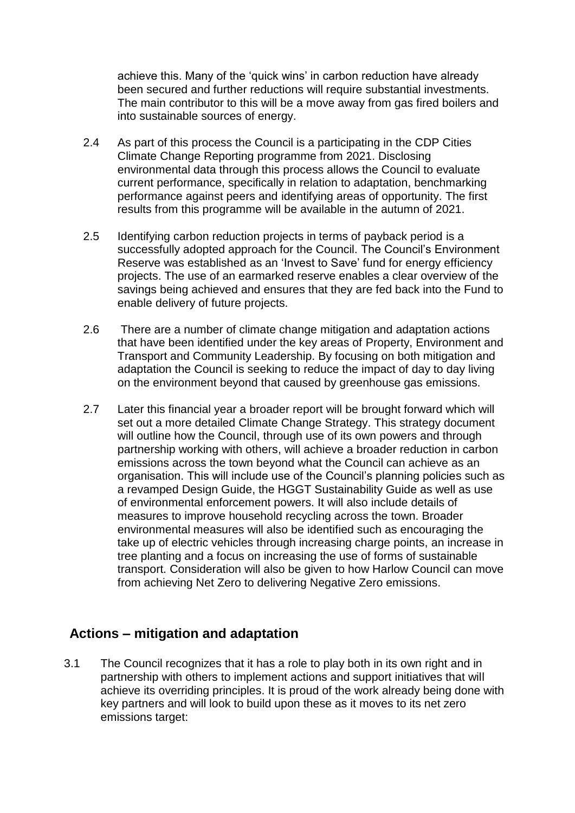achieve this. Many of the 'quick wins' in carbon reduction have already been secured and further reductions will require substantial investments. The main contributor to this will be a move away from gas fired boilers and into sustainable sources of energy.

- 2.4 As part of this process the Council is a participating in the CDP Cities Climate Change Reporting programme from 2021. Disclosing environmental data through this process allows the Council to evaluate current performance, specifically in relation to adaptation, benchmarking performance against peers and identifying areas of opportunity. The first results from this programme will be available in the autumn of 2021.
- 2.5 Identifying carbon reduction projects in terms of payback period is a successfully adopted approach for the Council. The Council's Environment Reserve was established as an 'Invest to Save' fund for energy efficiency projects. The use of an earmarked reserve enables a clear overview of the savings being achieved and ensures that they are fed back into the Fund to enable delivery of future projects.
- 2.6 There are a number of climate change mitigation and adaptation actions that have been identified under the key areas of Property, Environment and Transport and Community Leadership. By focusing on both mitigation and adaptation the Council is seeking to reduce the impact of day to day living on the environment beyond that caused by greenhouse gas emissions.
- 2.7 Later this financial year a broader report will be brought forward which will set out a more detailed Climate Change Strategy. This strategy document will outline how the Council, through use of its own powers and through partnership working with others, will achieve a broader reduction in carbon emissions across the town beyond what the Council can achieve as an organisation. This will include use of the Council's planning policies such as a revamped Design Guide, the HGGT Sustainability Guide as well as use of environmental enforcement powers. It will also include details of measures to improve household recycling across the town. Broader environmental measures will also be identified such as encouraging the take up of electric vehicles through increasing charge points, an increase in tree planting and a focus on increasing the use of forms of sustainable transport. Consideration will also be given to how Harlow Council can move from achieving Net Zero to delivering Negative Zero emissions.

## **Actions – mitigation and adaptation**

3.1 The Council recognizes that it has a role to play both in its own right and in partnership with others to implement actions and support initiatives that will achieve its overriding principles. It is proud of the work already being done with key partners and will look to build upon these as it moves to its net zero emissions target: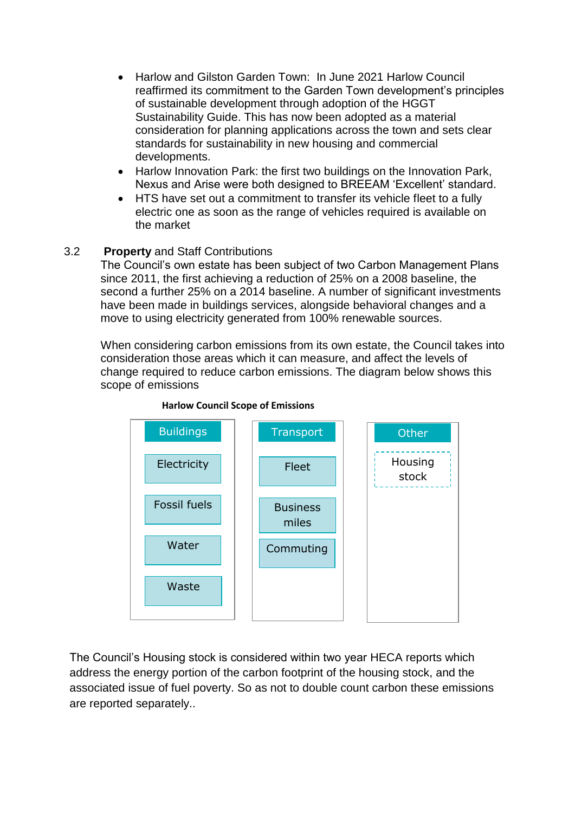- Harlow and Gilston Garden Town: In June 2021 Harlow Council reaffirmed its commitment to the Garden Town development's principles of sustainable development through adoption of the HGGT Sustainability Guide. This has now been adopted as a material consideration for planning applications across the town and sets clear standards for sustainability in new housing and commercial developments.
- Harlow Innovation Park: the first two buildings on the Innovation Park, Nexus and Arise were both designed to BREEAM 'Excellent' standard.
- HTS have set out a commitment to transfer its vehicle fleet to a fully electric one as soon as the range of vehicles required is available on the market

#### 3.2 **Property** and Staff Contributions

The Council's own estate has been subject of two Carbon Management Plans since 2011, the first achieving a reduction of 25% on a 2008 baseline, the second a further 25% on a 2014 baseline. A number of significant investments have been made in buildings services, alongside behavioral changes and a move to using electricity generated from 100% renewable sources.

When considering carbon emissions from its own estate, the Council takes into consideration those areas which it can measure, and affect the levels of change required to reduce carbon emissions. The diagram below shows this scope of emissions



**Harlow Council Scope of Emissions**

The Council's Housing stock is considered within two year HECA reports which address the energy portion of the carbon footprint of the housing stock, and the associated issue of fuel poverty. So as not to double count carbon these emissions are reported separately..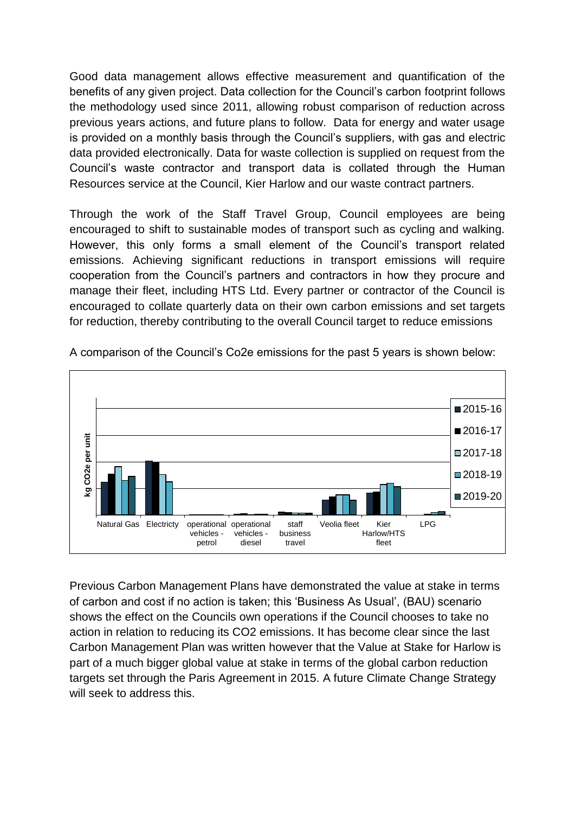Good data management allows effective measurement and quantification of the benefits of any given project. Data collection for the Council's carbon footprint follows the methodology used since 2011, allowing robust comparison of reduction across previous years actions, and future plans to follow. Data for energy and water usage is provided on a monthly basis through the Council's suppliers, with gas and electric data provided electronically. Data for waste collection is supplied on request from the Council's waste contractor and transport data is collated through the Human Resources service at the Council, Kier Harlow and our waste contract partners.

Through the work of the Staff Travel Group, Council employees are being encouraged to shift to sustainable modes of transport such as cycling and walking. However, this only forms a small element of the Council's transport related emissions. Achieving significant reductions in transport emissions will require cooperation from the Council's partners and contractors in how they procure and manage their fleet, including HTS Ltd. Every partner or contractor of the Council is encouraged to collate quarterly data on their own carbon emissions and set targets for reduction, thereby contributing to the overall Council target to reduce emissions



A comparison of the Council's Co2e emissions for the past 5 years is shown below:

Previous Carbon Management Plans have demonstrated the value at stake in terms of carbon and cost if no action is taken; this 'Business As Usual', (BAU) scenario shows the effect on the Councils own operations if the Council chooses to take no action in relation to reducing its CO2 emissions. It has become clear since the last Carbon Management Plan was written however that the Value at Stake for Harlow is part of a much bigger global value at stake in terms of the global carbon reduction targets set through the Paris Agreement in 2015. A future Climate Change Strategy will seek to address this.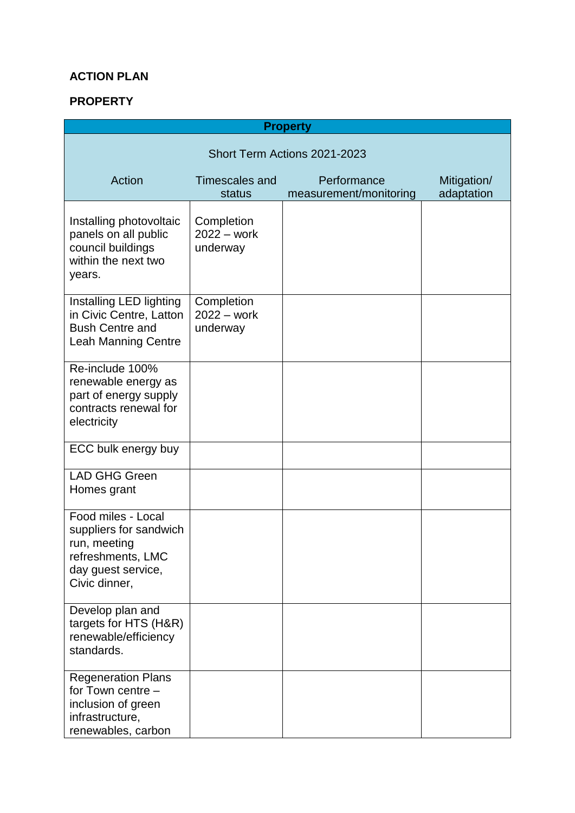## **ACTION PLAN**

#### **PROPERTY**

| <b>Property</b>                                                                                                          |                                         |                                       |                           |  |
|--------------------------------------------------------------------------------------------------------------------------|-----------------------------------------|---------------------------------------|---------------------------|--|
| Short Term Actions 2021-2023                                                                                             |                                         |                                       |                           |  |
| Action                                                                                                                   | Timescales and<br>status                | Performance<br>measurement/monitoring | Mitigation/<br>adaptation |  |
| Installing photovoltaic<br>panels on all public<br>council buildings<br>within the next two<br>years.                    | Completion<br>$2022 - work$<br>underway |                                       |                           |  |
| Installing LED lighting<br>in Civic Centre, Latton<br><b>Bush Centre and</b><br><b>Leah Manning Centre</b>               | Completion<br>$2022 - work$<br>underway |                                       |                           |  |
| Re-include 100%<br>renewable energy as<br>part of energy supply<br>contracts renewal for<br>electricity                  |                                         |                                       |                           |  |
| ECC bulk energy buy                                                                                                      |                                         |                                       |                           |  |
| <b>LAD GHG Green</b><br>Homes grant                                                                                      |                                         |                                       |                           |  |
| Food miles - Local<br>suppliers for sandwich<br>run, meeting<br>refreshments, LMC<br>day guest service,<br>Civic dinner, |                                         |                                       |                           |  |
| Develop plan and<br>targets for HTS (H&R)<br>renewable/efficiency<br>standards.                                          |                                         |                                       |                           |  |
| <b>Regeneration Plans</b><br>for Town centre -<br>inclusion of green<br>infrastructure,<br>renewables, carbon            |                                         |                                       |                           |  |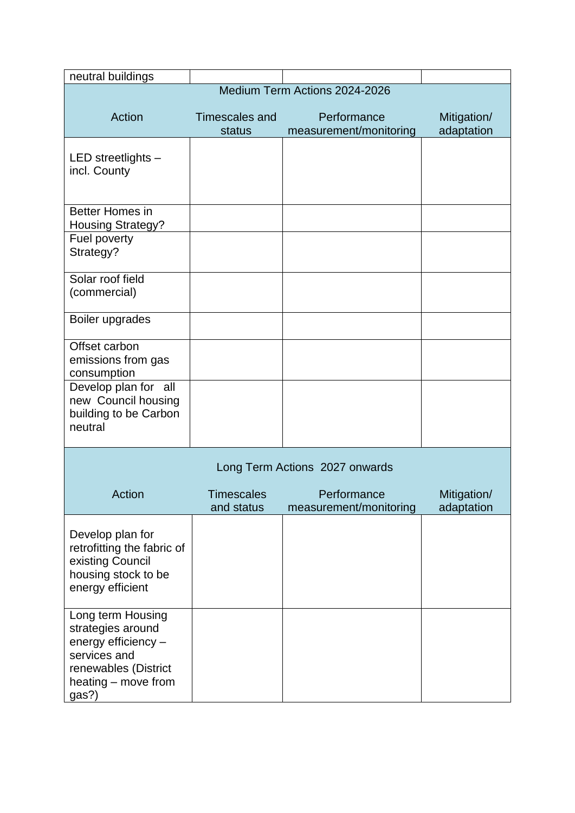| neutral buildings                                                                                                                     |                                 |                                       |                           |  |
|---------------------------------------------------------------------------------------------------------------------------------------|---------------------------------|---------------------------------------|---------------------------|--|
|                                                                                                                                       | Medium Term Actions 2024-2026   |                                       |                           |  |
| Action                                                                                                                                | <b>Timescales and</b><br>status | Performance<br>measurement/monitoring | Mitigation/<br>adaptation |  |
| LED streetlights -<br>incl. County                                                                                                    |                                 |                                       |                           |  |
| Better Homes in<br><b>Housing Strategy?</b><br>Fuel poverty                                                                           |                                 |                                       |                           |  |
| Strategy?                                                                                                                             |                                 |                                       |                           |  |
| Solar roof field<br>(commercial)                                                                                                      |                                 |                                       |                           |  |
| Boiler upgrades                                                                                                                       |                                 |                                       |                           |  |
| Offset carbon<br>emissions from gas<br>consumption                                                                                    |                                 |                                       |                           |  |
| Develop plan for all<br>new Council housing<br>building to be Carbon<br>neutral                                                       |                                 |                                       |                           |  |
| Long Term Actions 2027 onwards                                                                                                        |                                 |                                       |                           |  |
| Action                                                                                                                                | <b>Timescales</b><br>and status | Performance<br>measurement/monitoring | Mitigation/<br>adaptation |  |
| Develop plan for<br>retrofitting the fabric of<br>existing Council<br>housing stock to be<br>energy efficient                         |                                 |                                       |                           |  |
| Long term Housing<br>strategies around<br>energy efficiency -<br>services and<br>renewables (District<br>heating – move from<br>gas?) |                                 |                                       |                           |  |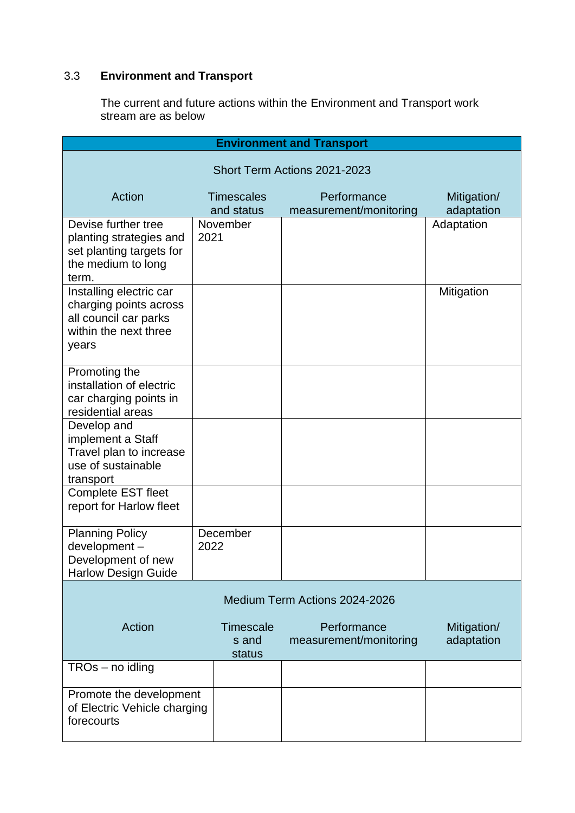# 3.3 **Environment and Transport**

The current and future actions within the Environment and Transport work stream are as below

| <b>Environment and Transport</b>                                                                             |      |                                     |                                       |                           |
|--------------------------------------------------------------------------------------------------------------|------|-------------------------------------|---------------------------------------|---------------------------|
| Short Term Actions 2021-2023                                                                                 |      |                                     |                                       |                           |
| Action                                                                                                       |      | <b>Timescales</b>                   | Performance                           | Mitigation/               |
|                                                                                                              |      | and status                          | measurement/monitoring                | adaptation                |
| Devise further tree<br>planting strategies and<br>set planting targets for<br>the medium to long<br>term.    | 2021 | November                            |                                       | Adaptation                |
| Installing electric car<br>charging points across<br>all council car parks<br>within the next three<br>years |      |                                     |                                       | Mitigation                |
| Promoting the<br>installation of electric<br>car charging points in<br>residential areas                     |      |                                     |                                       |                           |
| Develop and<br>implement a Staff<br>Travel plan to increase<br>use of sustainable<br>transport               |      |                                     |                                       |                           |
| <b>Complete EST fleet</b><br>report for Harlow fleet                                                         |      |                                     |                                       |                           |
| <b>Planning Policy</b><br>development-<br>Development of new<br><b>Harlow Design Guide</b>                   | 2022 | December                            |                                       |                           |
| Medium Term Actions 2024-2026                                                                                |      |                                     |                                       |                           |
| Action                                                                                                       |      | <b>Timescale</b><br>s and<br>status | Performance<br>measurement/monitoring | Mitigation/<br>adaptation |
| TROs - no idling                                                                                             |      |                                     |                                       |                           |
| Promote the development<br>of Electric Vehicle charging<br>forecourts                                        |      |                                     |                                       |                           |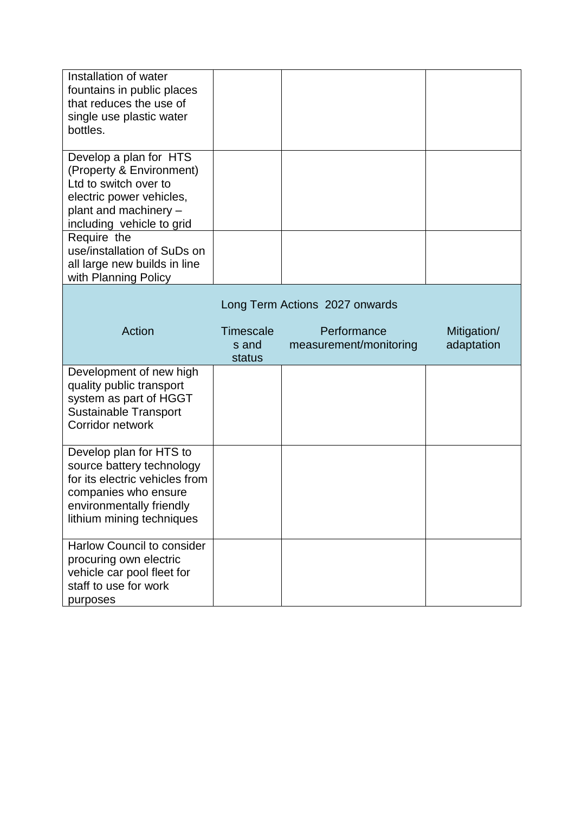| Installation of water<br>fountains in public places<br>that reduces the use of<br>single use plastic water<br>bottles.                                                  |                  |                                |             |
|-------------------------------------------------------------------------------------------------------------------------------------------------------------------------|------------------|--------------------------------|-------------|
| Develop a plan for HTS<br>(Property & Environment)<br>Ltd to switch over to<br>electric power vehicles,<br>plant and machinery -<br>including vehicle to grid           |                  |                                |             |
| Require the<br>use/installation of SuDs on<br>all large new builds in line<br>with Planning Policy                                                                      |                  |                                |             |
|                                                                                                                                                                         |                  | Long Term Actions 2027 onwards |             |
| Action                                                                                                                                                                  | <b>Timescale</b> | Performance                    | Mitigation/ |
|                                                                                                                                                                         | s and<br>status  | measurement/monitoring         | adaptation  |
| Development of new high<br>quality public transport<br>system as part of HGGT<br><b>Sustainable Transport</b><br>Corridor network                                       |                  |                                |             |
| Develop plan for HTS to<br>source battery technology<br>for its electric vehicles from<br>companies who ensure<br>environmentally friendly<br>lithium mining techniques |                  |                                |             |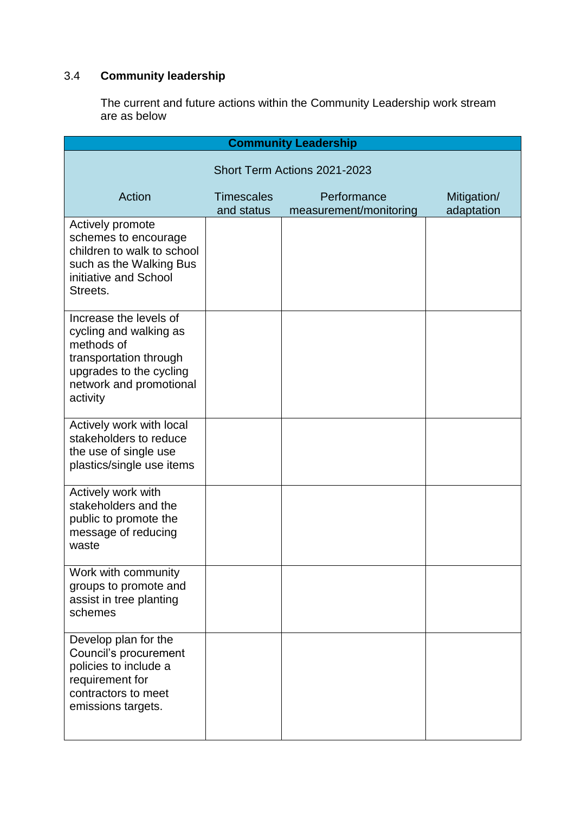# 3.4 **Community leadership**

The current and future actions within the Community Leadership work stream are as below

| <b>Community Leadership</b>                                                                                                                                |                                 |                                       |                           |  |
|------------------------------------------------------------------------------------------------------------------------------------------------------------|---------------------------------|---------------------------------------|---------------------------|--|
| Short Term Actions 2021-2023                                                                                                                               |                                 |                                       |                           |  |
| Action                                                                                                                                                     | <b>Timescales</b><br>and status | Performance<br>measurement/monitoring | Mitigation/<br>adaptation |  |
| Actively promote<br>schemes to encourage<br>children to walk to school<br>such as the Walking Bus<br>initiative and School<br>Streets.                     |                                 |                                       |                           |  |
| Increase the levels of<br>cycling and walking as<br>methods of<br>transportation through<br>upgrades to the cycling<br>network and promotional<br>activity |                                 |                                       |                           |  |
| Actively work with local<br>stakeholders to reduce<br>the use of single use<br>plastics/single use items                                                   |                                 |                                       |                           |  |
| Actively work with<br>stakeholders and the<br>public to promote the<br>message of reducing<br>waste                                                        |                                 |                                       |                           |  |
| Work with community<br>groups to promote and<br>assist in tree planting<br>schemes                                                                         |                                 |                                       |                           |  |
| Develop plan for the<br>Council's procurement<br>policies to include a<br>requirement for<br>contractors to meet<br>emissions targets.                     |                                 |                                       |                           |  |